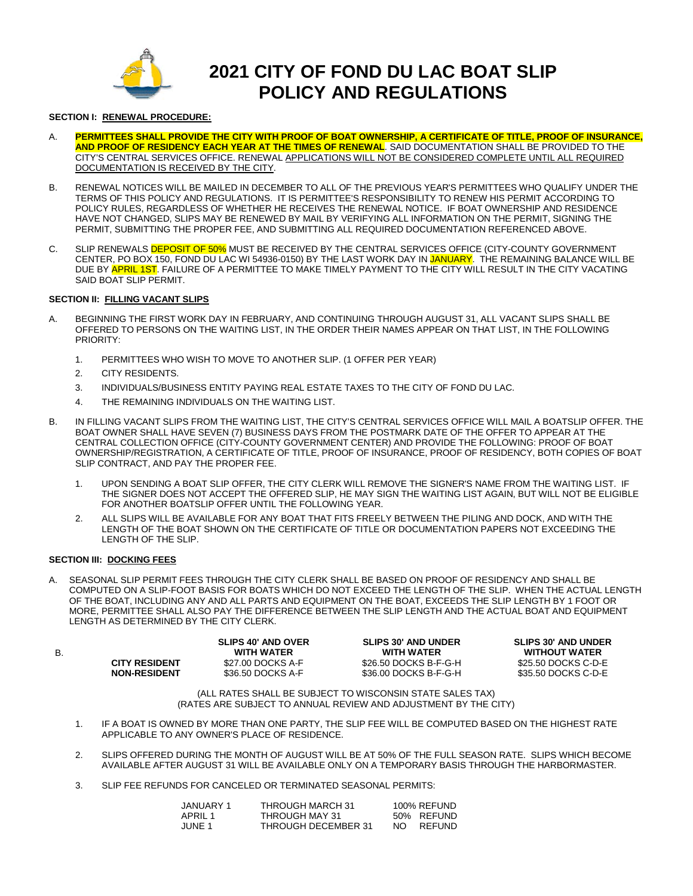

# **2021 CITY OF FOND DU LAC BOAT SLIP POLICY AND REGULATIONS**

## **SECTION I: RENEWAL PROCEDURE:**

- A. **PERMITTEES SHALL PROVIDE THE CITY WITH PROOF OF BOAT OWNERSHIP, A CERTIFICATE OF TITLE, PROOF OF INSURANCE, AND PROOF OF RESIDENCY EACH YEAR AT THE TIMES OF RENEWAL**. SAID DOCUMENTATION SHALL BE PROVIDED TO THE CITY'S CENTRAL SERVICES OFFICE. RENEWAL APPLICATIONS WILL NOT BE CONSIDERED COMPLETE UNTIL ALL REQUIRED DOCUMENTATION IS RECEIVED BY THE CITY.
- B. RENEWAL NOTICES WILL BE MAILED IN DECEMBER TO ALL OF THE PREVIOUS YEAR'S PERMITTEES WHO QUALIFY UNDER THE TERMS OF THIS POLICY AND REGULATIONS. IT IS PERMITTEE'S RESPONSIBILITY TO RENEW HIS PERMIT ACCORDING TO POLICY RULES, REGARDLESS OF WHETHER HE RECEIVES THE RENEWAL NOTICE. IF BOAT OWNERSHIP AND RESIDENCE HAVE NOT CHANGED, SLIPS MAY BE RENEWED BY MAIL BY VERIFYING ALL INFORMATION ON THE PERMIT, SIGNING THE PERMIT, SUBMITTING THE PROPER FEE, AND SUBMITTING ALL REQUIRED DOCUMENTATION REFERENCED ABOVE.
- C. SLIP RENEWALS DEPOSIT OF 50% MUST BE RECEIVED BY THE CENTRAL SERVICES OFFICE (CITY-COUNTY GOVERNMENT CENTER, PO BOX 150, FOND DU LAC WI 54936-0150) BY THE LAST WORK DAY IN JANUARY. THE REMAINING BALANCE WILL BE DUE BY APRIL 1ST. FAILURE OF A PERMITTEE TO MAKE TIMELY PAYMENT TO THE CITY WILL RESULT IN THE CITY VACATING SAID BOAT SLIP PERMIT.

# **SECTION II: FILLING VACANT SLIPS**

- A. BEGINNING THE FIRST WORK DAY IN FEBRUARY, AND CONTINUING THROUGH AUGUST 31, ALL VACANT SLIPS SHALL BE OFFERED TO PERSONS ON THE WAITING LIST, IN THE ORDER THEIR NAMES APPEAR ON THAT LIST, IN THE FOLLOWING PRIORITY:
	- 1. PERMITTEES WHO WISH TO MOVE TO ANOTHER SLIP. (1 OFFER PER YEAR)
	- 2. CITY RESIDENTS.
	- 3. INDIVIDUALS/BUSINESS ENTITY PAYING REAL ESTATE TAXES TO THE CITY OF FOND DU LAC.
	- 4. THE REMAINING INDIVIDUALS ON THE WAITING LIST.
- B. IN FILLING VACANT SLIPS FROM THE WAITING LIST, THE CITY'S CENTRAL SERVICES OFFICE WILL MAIL A BOATSLIP OFFER. THE BOAT OWNER SHALL HAVE SEVEN (7) BUSINESS DAYS FROM THE POSTMARK DATE OF THE OFFER TO APPEAR AT THE CENTRAL COLLECTION OFFICE (CITY-COUNTY GOVERNMENT CENTER) AND PROVIDE THE FOLLOWING: PROOF OF BOAT OWNERSHIP/REGISTRATION, A CERTIFICATE OF TITLE, PROOF OF INSURANCE, PROOF OF RESIDENCY, BOTH COPIES OF BOAT SLIP CONTRACT, AND PAY THE PROPER FEE.
	- 1. UPON SENDING A BOAT SLIP OFFER, THE CITY CLERK WILL REMOVE THE SIGNER'S NAME FROM THE WAITING LIST. IF THE SIGNER DOES NOT ACCEPT THE OFFERED SLIP, HE MAY SIGN THE WAITING LIST AGAIN, BUT WILL NOT BE ELIGIBLE FOR ANOTHER BOATSLIP OFFER UNTIL THE FOLLOWING YEAR.
	- 2. ALL SLIPS WILL BE AVAILABLE FOR ANY BOAT THAT FITS FREELY BETWEEN THE PILING AND DOCK, AND WITH THE LENGTH OF THE BOAT SHOWN ON THE CERTIFICATE OF TITLE OR DOCUMENTATION PAPERS NOT EXCEEDING THE LENGTH OF THE SLIP.

#### **SECTION III: DOCKING FEES**

A. SEASONAL SLIP PERMIT FEES THROUGH THE CITY CLERK SHALL BE BASED ON PROOF OF RESIDENCY AND SHALL BE COMPUTED ON A SLIP-FOOT BASIS FOR BOATS WHICH DO NOT EXCEED THE LENGTH OF THE SLIP. WHEN THE ACTUAL LENGTH OF THE BOAT, INCLUDING ANY AND ALL PARTS AND EQUIPMENT ON THE BOAT, EXCEEDS THE SLIP LENGTH BY 1 FOOT OR MORE, PERMITTEE SHALL ALSO PAY THE DIFFERENCE BETWEEN THE SLIP LENGTH AND THE ACTUAL BOAT AND EQUIPMENT LENGTH AS DETERMINED BY THE CITY CLERK.

B.

**SLIPS 40' AND OVER WITH WATER**<br>\$27.00 DOCKS A-F

**SLIPS 30' AND UNDER WITH WATER CITY RESIDENT** \$27.00 DOCKS A-F \$26.50 DOCKS B-F-G-H \$25.50 DOCKS C-D-E<br>**NON-RESIDENT** \$36.50 DOCKS A-F \$36.00 DOCKS B-F-G-H \$35.50 DOCKS C-D-E  $$36.00$  DOCKS B-F-G-H

**SLIPS 30' AND UNDER WITHOUT WATER**<br>\$25.50 DOCKS C-D-E

(ALL RATES SHALL BE SUBJECT TO WISCONSIN STATE SALES TAX) (RATES ARE SUBJECT TO ANNUAL REVIEW AND ADJUSTMENT BY THE CITY)

- 1. IF A BOAT IS OWNED BY MORE THAN ONE PARTY, THE SLIP FEE WILL BE COMPUTED BASED ON THE HIGHEST RATE APPLICABLE TO ANY OWNER'S PLACE OF RESIDENCE.
- 2. SLIPS OFFERED DURING THE MONTH OF AUGUST WILL BE AT 50% OF THE FULL SEASON RATE. SLIPS WHICH BECOME AVAILABLE AFTER AUGUST 31 WILL BE AVAILABLE ONLY ON A TEMPORARY BASIS THROUGH THE HARBORMASTER.
- 3. SLIP FEE REFUNDS FOR CANCELED OR TERMINATED SEASONAL PERMITS:

| JANUARY 1 | THROUGH MARCH 31           |     | 100% REFUND   |
|-----------|----------------------------|-----|---------------|
| APRII 1   | THROUGH MAY 31             |     | 50% REFUND    |
| JUNE 1    | <b>THROUGH DECEMBER 31</b> | NO. | <b>REFUND</b> |